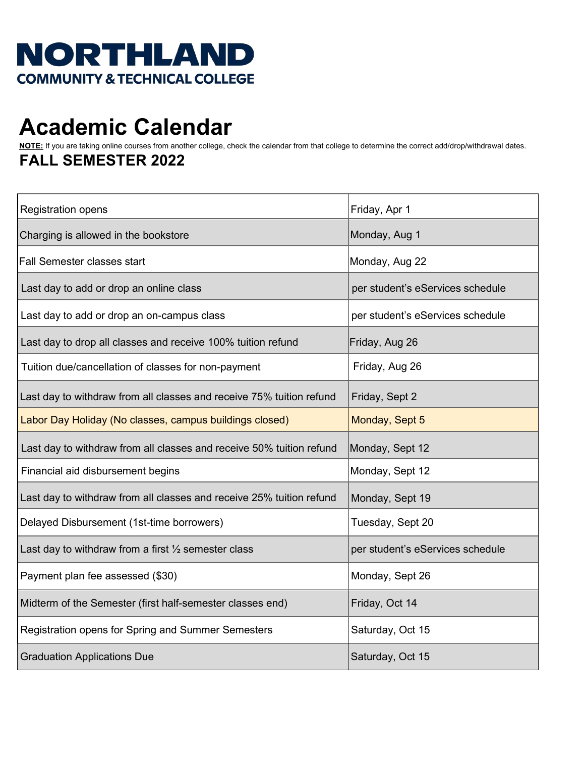## **NORTHLAND COMMUNITY & TECHNICAL COLLEGE**

## **Academic Calendar**

**NOTE:** If you are taking online courses from another college, check the calendar from that college to determine the correct add/drop/withdrawal dates. **FALL SEMESTER 2022** 

| <b>Registration opens</b>                                            | Friday, Apr 1                    |
|----------------------------------------------------------------------|----------------------------------|
| Charging is allowed in the bookstore                                 | Monday, Aug 1                    |
| <b>Fall Semester classes start</b>                                   | Monday, Aug 22                   |
| Last day to add or drop an online class                              | per student's eServices schedule |
| Last day to add or drop an on-campus class                           | per student's eServices schedule |
| Last day to drop all classes and receive 100% tuition refund         | Friday, Aug 26                   |
| Tuition due/cancellation of classes for non-payment                  | Friday, Aug 26                   |
| Last day to withdraw from all classes and receive 75% tuition refund | Friday, Sept 2                   |
| Labor Day Holiday (No classes, campus buildings closed)              | Monday, Sept 5                   |
| Last day to withdraw from all classes and receive 50% tuition refund | Monday, Sept 12                  |
| Financial aid disbursement begins                                    | Monday, Sept 12                  |
| Last day to withdraw from all classes and receive 25% tuition refund | Monday, Sept 19                  |
| Delayed Disbursement (1st-time borrowers)                            | Tuesday, Sept 20                 |
| Last day to withdraw from a first $\frac{1}{2}$ semester class       | per student's eServices schedule |
| Payment plan fee assessed (\$30)                                     | Monday, Sept 26                  |
| Midterm of the Semester (first half-semester classes end)            | Friday, Oct 14                   |
| Registration opens for Spring and Summer Semesters                   | Saturday, Oct 15                 |
| <b>Graduation Applications Due</b>                                   | Saturday, Oct 15                 |